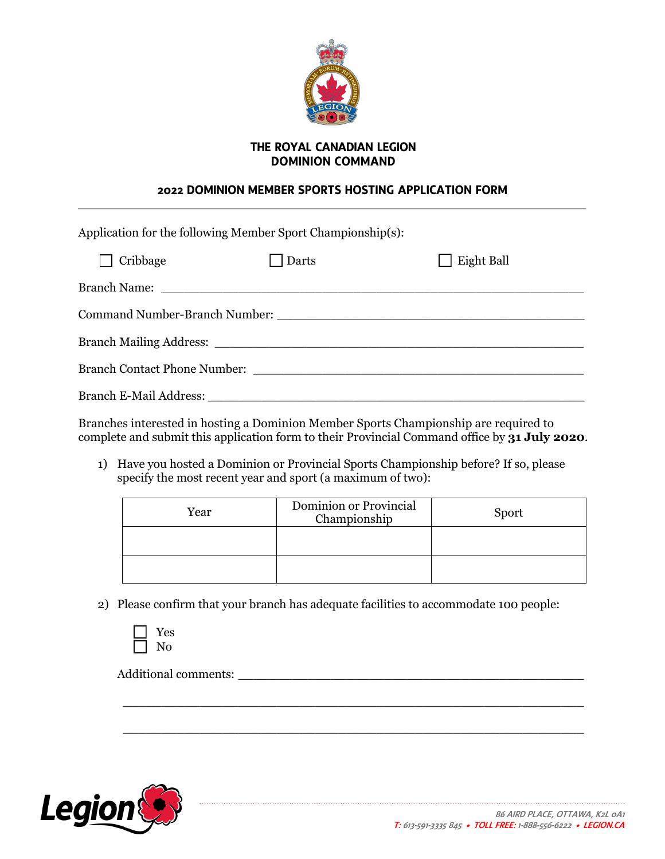

## **THE ROYAL CANADIAN LEGION DOMINION COMMAND**

## **2022 DOMINION MEMBER SPORTS HOSTING APPLICATION FORM**

| Application for the following Member Sport Championship(s):                                                                                                                                                                    |       |            |  |  |
|--------------------------------------------------------------------------------------------------------------------------------------------------------------------------------------------------------------------------------|-------|------------|--|--|
| $\Box$ Cribbage                                                                                                                                                                                                                | Darts | Eight Ball |  |  |
|                                                                                                                                                                                                                                |       |            |  |  |
| Command Number-Branch Number: Name of the Command Number of the Command Number of the Command Section 1, 1986                                                                                                                  |       |            |  |  |
|                                                                                                                                                                                                                                |       |            |  |  |
|                                                                                                                                                                                                                                |       |            |  |  |
| Branch E-Mail Address: New York 1988 and 2008. The Contract of the Contract of the Contract of the Contract of the Contract of the Contract of the Contract of the Contract of the Contract of the Contract of the Contract of |       |            |  |  |

Branches interested in hosting a Dominion Member Sports Championship are required to complete and submit this application form to their Provincial Command office by **31 July 2020**.

1) Have you hosted a Dominion or Provincial Sports Championship before? If so, please specify the most recent year and sport (a maximum of two):

| Year | Dominion or Provincial<br>Championship | Sport |
|------|----------------------------------------|-------|
|      |                                        |       |
|      |                                        |       |

 $\overline{\phantom{a}}$  , and the contribution of the contribution of the contribution of the contribution of the contribution of the contribution of the contribution of the contribution of the contribution of the contribution of the

 $\overline{\phantom{a}}$  , and the contract of the contract of the contract of the contract of the contract of the contract of the contract of the contract of the contract of the contract of the contract of the contract of the contrac

2) Please confirm that your branch has adequate facilities to accommodate 100 people:



Additional comments: \_\_\_\_\_\_\_\_\_\_\_\_\_\_\_\_\_\_\_\_\_\_\_\_\_\_\_\_\_\_\_\_\_\_\_\_\_\_\_\_\_\_\_\_\_

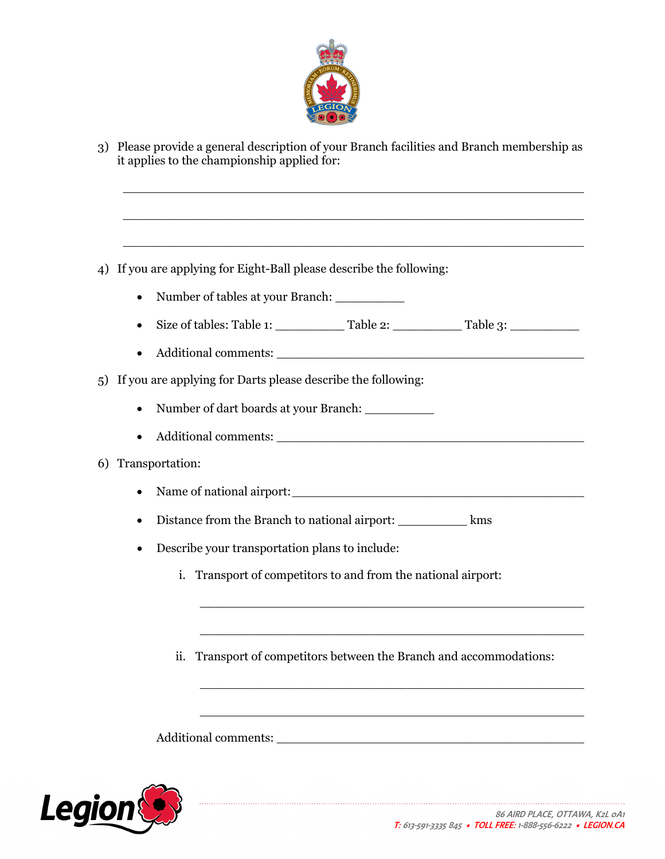

3) Please provide a general description of your Branch facilities and Branch membership as it applies to the championship applied for:

 $\overline{a_1}$  ,  $\overline{a_2}$  ,  $\overline{a_3}$  ,  $\overline{a_4}$  ,  $\overline{a_5}$  ,  $\overline{a_6}$  ,  $\overline{a_7}$  ,  $\overline{a_8}$  ,  $\overline{a_9}$  ,  $\overline{a_9}$  ,  $\overline{a_9}$  ,  $\overline{a_9}$  ,  $\overline{a_9}$  ,  $\overline{a_9}$  ,  $\overline{a_9}$  ,  $\overline{a_9}$  ,  $\overline{a_9}$  ,

 $\overline{\phantom{a}}$  , and the contract of the contract of the contract of the contract of the contract of the contract of the contract of the contract of the contract of the contract of the contract of the contract of the contrac

 $\overline{a_1}$  ,  $\overline{a_2}$  ,  $\overline{a_3}$  ,  $\overline{a_4}$  ,  $\overline{a_5}$  ,  $\overline{a_6}$  ,  $\overline{a_7}$  ,  $\overline{a_8}$  ,  $\overline{a_9}$  ,  $\overline{a_9}$  ,  $\overline{a_9}$  ,  $\overline{a_9}$  ,  $\overline{a_9}$  ,  $\overline{a_9}$  ,  $\overline{a_9}$  ,  $\overline{a_9}$  ,  $\overline{a_9}$  ,

- 4) If you are applying for Eight-Ball please describe the following:
	- Number of tables at your Branch: \_\_\_\_\_\_\_\_\_
	- Size of tables: Table 1:  $\qquad \qquad$  Table 2:  $\qquad \qquad$  Table 3:  $\qquad \qquad$
	- Additional comments:
- 5) If you are applying for Darts please describe the following:
	- Number of dart boards at your Branch: \_\_\_\_\_\_\_\_\_
	- Additional comments:

## 6) Transportation:

- Name of national airport:\_\_\_\_\_\_\_\_\_\_\_\_\_\_\_\_\_\_\_\_\_\_\_\_\_\_\_\_\_\_\_\_\_\_\_\_\_\_
- Distance from the Branch to national airport: \_\_\_\_\_\_\_\_\_ kms
- Describe your transportation plans to include:
	- i. Transport of competitors to and from the national airport:
	- ii. Transport of competitors between the Branch and accommodations:

\_\_\_\_\_\_\_\_\_\_\_\_\_\_\_\_\_\_\_\_\_\_\_\_\_\_\_\_\_\_\_\_\_\_\_\_\_\_\_\_\_\_\_\_\_\_\_\_\_\_

\_\_\_\_\_\_\_\_\_\_\_\_\_\_\_\_\_\_\_\_\_\_\_\_\_\_\_\_\_\_\_\_\_\_\_\_\_\_\_\_\_\_\_\_\_\_\_\_\_\_

\_\_\_\_\_\_\_\_\_\_\_\_\_\_\_\_\_\_\_\_\_\_\_\_\_\_\_\_\_\_\_\_\_\_\_\_\_\_\_\_\_\_\_\_\_\_\_\_\_\_

\_\_\_\_\_\_\_\_\_\_\_\_\_\_\_\_\_\_\_\_\_\_\_\_\_\_\_\_\_\_\_\_\_\_\_\_\_\_\_\_\_\_\_\_\_\_\_\_\_\_

Additional comments:  $\blacksquare$